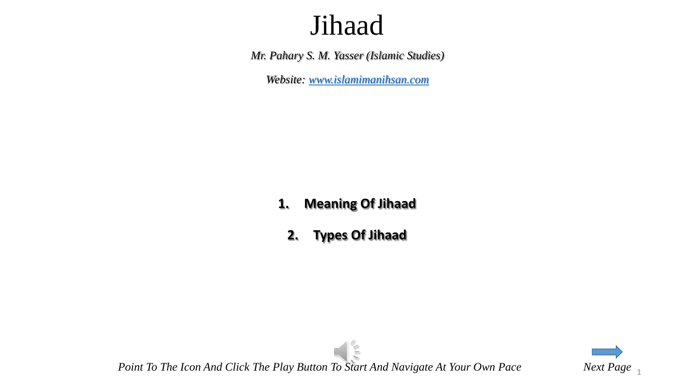*Mr. Pahary S. M. Yasser (Islamic Studies)*

*Website: [www.islamimanihsan.com](http://www.islamimanihsan.com/)*

#### **1. Meaning Of Jihaad**

**2. Types Of Jihaad**

 $\frac{1}{2}$ *Point To The Icon And Click The Play Button To Start And Navigate At Your Own Pace Next Page*  $\frac{1}{1}$ 

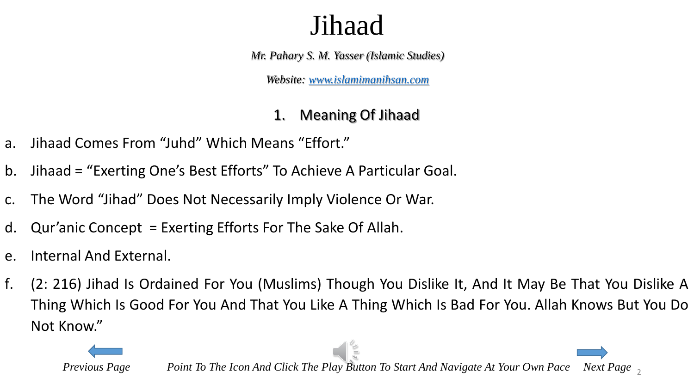*Mr. Pahary S. M. Yasser (Islamic Studies)*

*Website: [www.islamimanihsan.com](http://www.islamimanihsan.com/)*

#### 1. Meaning Of Jihaad

- a. Jihaad Comes From "Juhd" Which Means "Effort."
- b. Jihaad = "Exerting One's Best Efforts" To Achieve A Particular Goal.
- c. The Word "Jihad" Does Not Necessarily Imply Violence Or War.
- d. Qur'anic Concept = Exerting Efforts For The Sake Of Allah.
- e. Internal And External.
- f. (2: 216) Jihad Is Ordained For You (Muslims) Though You Dislike It, And It May Be That You Dislike A Thing Which Is Good For You And That You Like A Thing Which Is Bad For You. Allah Knows But You Do Not Know."

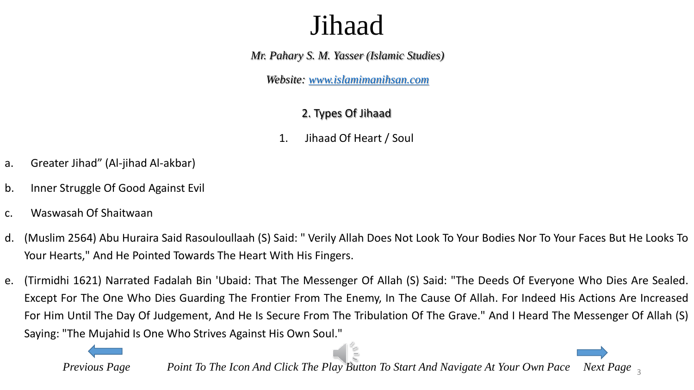*Mr. Pahary S. M. Yasser (Islamic Studies)*

*Website: [www.islamimanihsan.com](http://www.islamimanihsan.com/)*

#### 2. Types Of Jihaad

1. Jihaad Of Heart / Soul

- a. Greater Jihad" (Al-jihad Al-akbar)
- b. Inner Struggle Of Good Against Evil
- c. Waswasah Of Shaitwaan
- d. (Muslim 2564) Abu Huraira Said Rasouloullaah (S) Said: " Verily Allah Does Not Look To Your Bodies Nor To Your Faces But He Looks To Your Hearts," And He Pointed Towards The Heart With His Fingers.
- e. (Tirmidhi 1621) Narrated Fadalah Bin 'Ubaid: That The Messenger Of Allah (S) Said: "The Deeds Of Everyone Who Dies Are Sealed. Except For The One Who Dies Guarding The Frontier From The Enemy, In The Cause Of Allah. For Indeed His Actions Are Increased For Him Until The Day Of Judgement, And He Is Secure From The Tribulation Of The Grave." And I Heard The Messenger Of Allah (S) Saying: "The Mujahid Is One Who Strives Against His Own Soul."

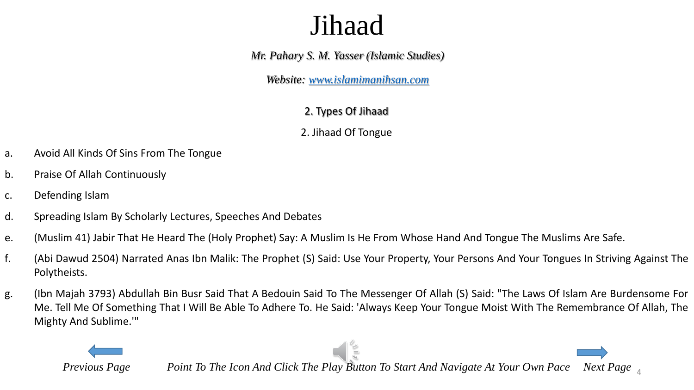*Mr. Pahary S. M. Yasser (Islamic Studies)*

*Website: [www.islamimanihsan.com](http://www.islamimanihsan.com/)*

2. Types Of Jihaad

2. Jihaad Of Tongue

- a. Avoid All Kinds Of Sins From The Tongue
- b. Praise Of Allah Continuously
- c. Defending Islam
- d. Spreading Islam By Scholarly Lectures, Speeches And Debates
- e. (Muslim 41) Jabir That He Heard The (Holy Prophet) Say: A Muslim Is He From Whose Hand And Tongue The Muslims Are Safe.
- f. (Abi Dawud 2504) Narrated Anas Ibn Malik: The Prophet (S) Said: Use Your Property, Your Persons And Your Tongues In Striving Against The Polytheists.
- g. (Ibn Majah 3793) Abdullah Bin Busr Said That A Bedouin Said To The Messenger Of Allah (S) Said: "The Laws Of Islam Are Burdensome For Me. Tell Me Of Something That I Will Be Able To Adhere To. He Said: 'Always Keep Your Tongue Moist With The Remembrance Of Allah, The Mighty And Sublime.'"

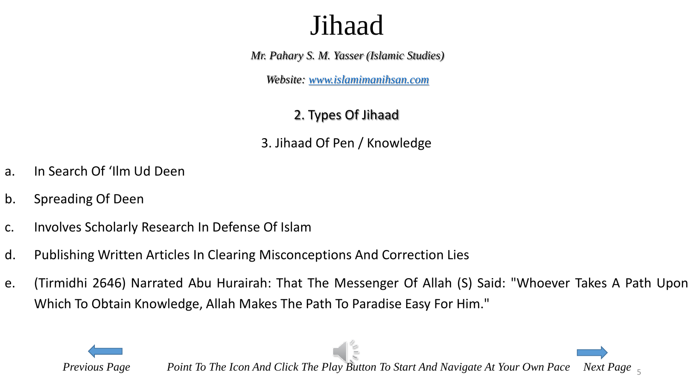*Mr. Pahary S. M. Yasser (Islamic Studies)*

*Website: [www.islamimanihsan.com](http://www.islamimanihsan.com/)*

#### 2. Types Of Jihaad

3. Jihaad Of Pen / Knowledge

- a. In Search Of 'Ilm Ud Deen
- b. Spreading Of Deen
- c. Involves Scholarly Research In Defense Of Islam
- d. Publishing Written Articles In Clearing Misconceptions And Correction Lies
- e. (Tirmidhi 2646) Narrated Abu Hurairah: That The Messenger Of Allah (S) Said: "Whoever Takes A Path Upon Which To Obtain Knowledge, Allah Makes The Path To Paradise Easy For Him."

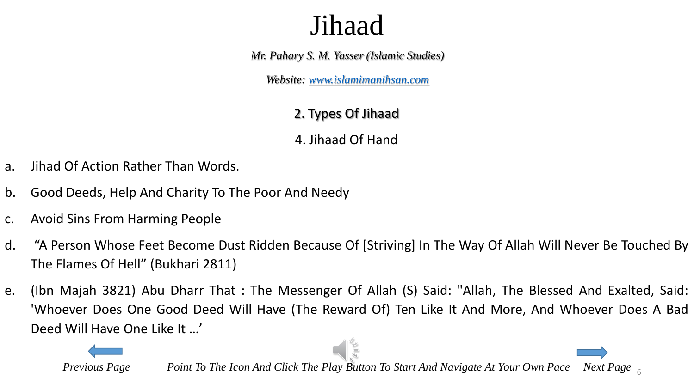*Mr. Pahary S. M. Yasser (Islamic Studies)*

*Website: [www.islamimanihsan.com](http://www.islamimanihsan.com/)*

#### 2. Types Of Jihaad

4. Jihaad Of Hand

- a. Jihad Of Action Rather Than Words.
- b. Good Deeds, Help And Charity To The Poor And Needy
- c. Avoid Sins From Harming People
- d. "A Person Whose Feet Become Dust Ridden Because Of [Striving] In The Way Of Allah Will Never Be Touched By The Flames Of Hell" (Bukhari 2811)
- e. (Ibn Majah 3821) Abu Dharr That : The Messenger Of Allah (S) Said: "Allah, The Blessed And Exalted, Said: 'Whoever Does One Good Deed Will Have (The Reward Of) Ten Like It And More, And Whoever Does A Bad Deed Will Have One Like It …'